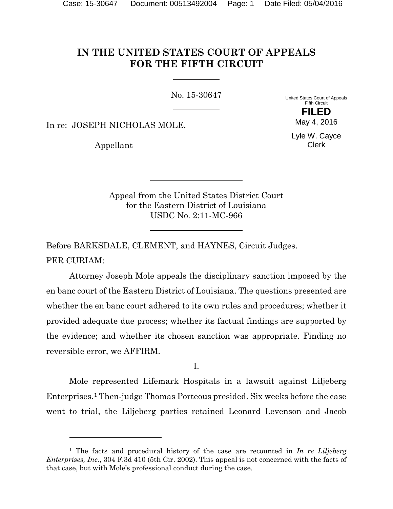# **IN THE UNITED STATES COURT OF APPEALS FOR THE FIFTH CIRCUIT**

No. 15-30647

United States Court of Appeals Fifth Circuit **FILED**

In re: JOSEPH NICHOLAS MOLE,

Appellant

 $\overline{a}$ 

Lyle W. Cayce Clerk

May 4, 2016

Appeal from the United States District Court for the Eastern District of Louisiana USDC No. 2:11-MC-966

Before BARKSDALE, CLEMENT, and HAYNES, Circuit Judges. PER CURIAM:

Attorney Joseph Mole appeals the disciplinary sanction imposed by the en banc court of the Eastern District of Louisiana. The questions presented are whether the en banc court adhered to its own rules and procedures; whether it provided adequate due process; whether its factual findings are supported by the evidence; and whether its chosen sanction was appropriate. Finding no reversible error, we AFFIRM.

I.

Mole represented Lifemark Hospitals in a lawsuit against Liljeberg Enterprises.[1](#page-0-0) Then-judge Thomas Porteous presided. Six weeks before the case went to trial, the Liljeberg parties retained Leonard Levenson and Jacob

<span id="page-0-0"></span><sup>1</sup> The facts and procedural history of the case are recounted in *In re Liljeberg Enterprises, Inc.*, 304 F.3d 410 (5th Cir. 2002). This appeal is not concerned with the facts of that case, but with Mole's professional conduct during the case.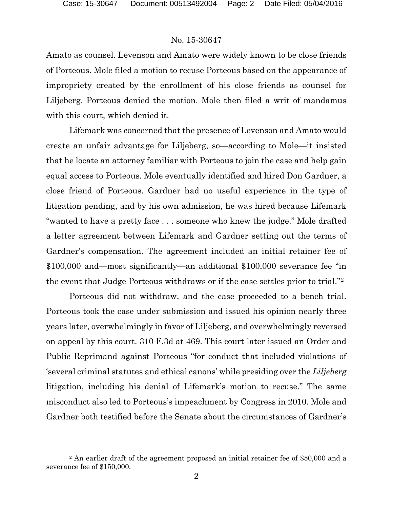### No. 15-30647

Amato as counsel. Levenson and Amato were widely known to be close friends of Porteous. Mole filed a motion to recuse Porteous based on the appearance of impropriety created by the enrollment of his close friends as counsel for Liljeberg. Porteous denied the motion. Mole then filed a writ of mandamus with this court, which denied it.

Lifemark was concerned that the presence of Levenson and Amato would create an unfair advantage for Liljeberg, so—according to Mole—it insisted that he locate an attorney familiar with Porteous to join the case and help gain equal access to Porteous. Mole eventually identified and hired Don Gardner, a close friend of Porteous. Gardner had no useful experience in the type of litigation pending, and by his own admission, he was hired because Lifemark "wanted to have a pretty face . . . someone who knew the judge." Mole drafted a letter agreement between Lifemark and Gardner setting out the terms of Gardner's compensation. The agreement included an initial retainer fee of \$100,000 and—most significantly—an additional \$100,000 severance fee "in the event that Judge Porteous withdraws or if the case settles prior to trial."[2](#page-1-0)

Porteous did not withdraw, and the case proceeded to a bench trial. Porteous took the case under submission and issued his opinion nearly three years later, overwhelmingly in favor of Liljeberg, and overwhelmingly reversed on appeal by this court. 310 F.3d at 469. This court later issued an Order and Public Reprimand against Porteous "for conduct that included violations of 'several criminal statutes and ethical canons' while presiding over the *Liljeberg* litigation, including his denial of Lifemark's motion to recuse." The same misconduct also led to Porteous's impeachment by Congress in 2010. Mole and Gardner both testified before the Senate about the circumstances of Gardner's

<span id="page-1-0"></span><sup>&</sup>lt;sup>2</sup> An earlier draft of the agreement proposed an initial retainer fee of \$50,000 and a severance fee of \$150,000.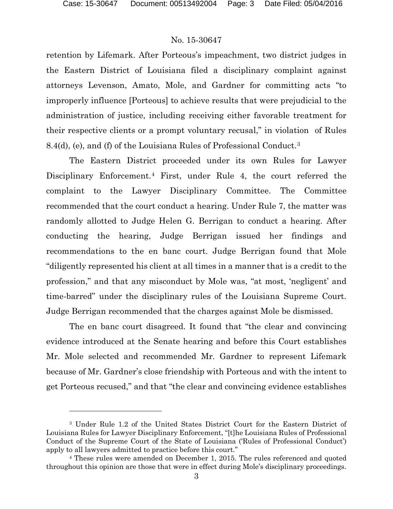$\overline{a}$ 

### No. 15-30647

retention by Lifemark. After Porteous's impeachment, two district judges in the Eastern District of Louisiana filed a disciplinary complaint against attorneys Levenson, Amato, Mole, and Gardner for committing acts "to improperly influence [Porteous] to achieve results that were prejudicial to the administration of justice, including receiving either favorable treatment for their respective clients or a prompt voluntary recusal," in violation of Rules 8.4(d), (e), and (f) of the Louisiana Rules of Professional Conduct.[3](#page-2-0)

The Eastern District proceeded under its own Rules for Lawyer Disciplinary Enforcement.[4](#page-2-1) First, under Rule 4, the court referred the complaint to the Lawyer Disciplinary Committee. The Committee recommended that the court conduct a hearing. Under Rule 7, the matter was randomly allotted to Judge Helen G. Berrigan to conduct a hearing. After conducting the hearing, Judge Berrigan issued her findings and recommendations to the en banc court. Judge Berrigan found that Mole "diligently represented his client at all times in a manner that is a credit to the profession," and that any misconduct by Mole was, "at most, 'negligent' and time-barred" under the disciplinary rules of the Louisiana Supreme Court. Judge Berrigan recommended that the charges against Mole be dismissed.

The en banc court disagreed. It found that "the clear and convincing evidence introduced at the Senate hearing and before this Court establishes Mr. Mole selected and recommended Mr. Gardner to represent Lifemark because of Mr. Gardner's close friendship with Porteous and with the intent to get Porteous recused," and that "the clear and convincing evidence establishes

<span id="page-2-0"></span><sup>3</sup> Under Rule 1.2 of the United States District Court for the Eastern District of Louisiana Rules for Lawyer Disciplinary Enforcement, "[t]he Louisiana Rules of Professional Conduct of the Supreme Court of the State of Louisiana ('Rules of Professional Conduct') apply to all lawyers admitted to practice before this court."

<span id="page-2-1"></span><sup>4</sup> These rules were amended on December 1, 2015. The rules referenced and quoted throughout this opinion are those that were in effect during Mole's disciplinary proceedings.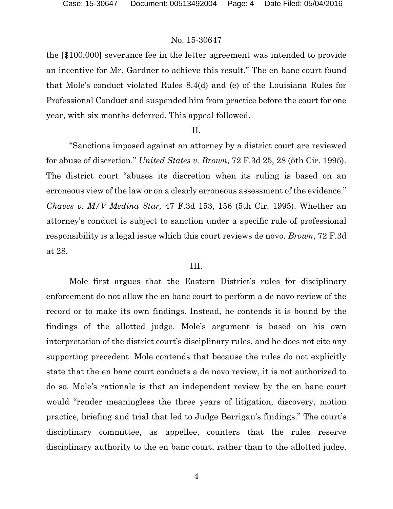the [\$100,000] severance fee in the letter agreement was intended to provide an incentive for Mr. Gardner to achieve this result." The en banc court found that Mole's conduct violated Rules 8.4(d) and (e) of the Louisiana Rules for Professional Conduct and suspended him from practice before the court for one year, with six months deferred. This appeal followed.

#### II.

"Sanctions imposed against an attorney by a district court are reviewed for abuse of discretion." *United States v. Brown*, 72 F.3d 25, 28 (5th Cir. 1995). The district court "abuses its discretion when its ruling is based on an erroneous view of the law or on a clearly erroneous assessment of the evidence." *Chaves v. M/V Medina Star,* 47 F.3d 153, 156 (5th Cir. 1995). Whether an attorney's conduct is subject to sanction under a specific rule of professional responsibility is a legal issue which this court reviews de novo. *Brown*, 72 F.3d at 28.

### III.

Mole first argues that the Eastern District's rules for disciplinary enforcement do not allow the en banc court to perform a de novo review of the record or to make its own findings. Instead, he contends it is bound by the findings of the allotted judge. Mole's argument is based on his own interpretation of the district court's disciplinary rules, and he does not cite any supporting precedent. Mole contends that because the rules do not explicitly state that the en banc court conducts a de novo review, it is not authorized to do so. Mole's rationale is that an independent review by the en banc court would "render meaningless the three years of litigation, discovery, motion practice, briefing and trial that led to Judge Berrigan's findings." The court's disciplinary committee, as appellee, counters that the rules reserve disciplinary authority to the en banc court, rather than to the allotted judge,

4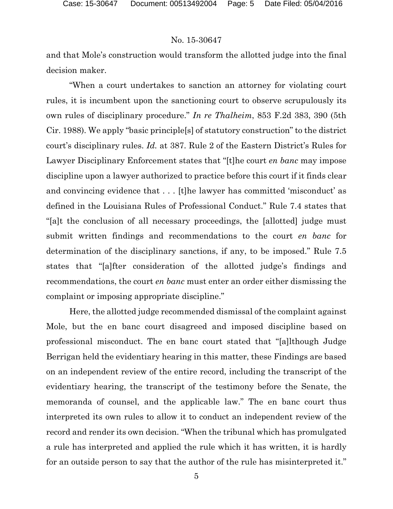and that Mole's construction would transform the allotted judge into the final decision maker.

"When a court undertakes to sanction an attorney for violating court rules, it is incumbent upon the sanctioning court to observe scrupulously its own rules of disciplinary procedure." *In re Thalheim*, 853 F.2d 383, 390 (5th Cir. 1988). We apply "basic principle[s] of statutory construction" to the district court's disciplinary rules. *Id.* at 387. Rule 2 of the Eastern District's Rules for Lawyer Disciplinary Enforcement states that "[t]he court *en banc* may impose discipline upon a lawyer authorized to practice before this court if it finds clear and convincing evidence that . . . [t]he lawyer has committed 'misconduct' as defined in the Louisiana Rules of Professional Conduct." Rule 7.4 states that "[a]t the conclusion of all necessary proceedings, the [allotted] judge must submit written findings and recommendations to the court *en banc* for determination of the disciplinary sanctions, if any, to be imposed." Rule 7.5 states that "[a]fter consideration of the allotted judge's findings and recommendations, the court *en banc* must enter an order either dismissing the complaint or imposing appropriate discipline."

Here, the allotted judge recommended dismissal of the complaint against Mole, but the en banc court disagreed and imposed discipline based on professional misconduct. The en banc court stated that "[a]lthough Judge Berrigan held the evidentiary hearing in this matter, these Findings are based on an independent review of the entire record, including the transcript of the evidentiary hearing, the transcript of the testimony before the Senate, the memoranda of counsel, and the applicable law." The en banc court thus interpreted its own rules to allow it to conduct an independent review of the record and render its own decision. "When the tribunal which has promulgated a rule has interpreted and applied the rule which it has written, it is hardly for an outside person to say that the author of the rule has misinterpreted it."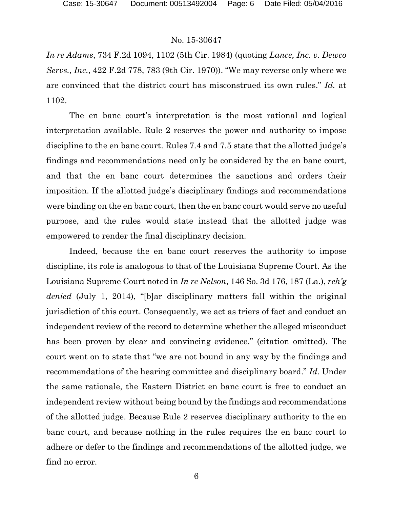*In re Adams*, 734 F.2d 1094, 1102 (5th Cir. 1984) (quoting *Lance, Inc. v. Dewco Servs., Inc.*, 422 F.2d 778, 783 (9th Cir. 1970)). "We may reverse only where we are convinced that the district court has misconstrued its own rules." *Id.* at 1102.

The en banc court's interpretation is the most rational and logical interpretation available. Rule 2 reserves the power and authority to impose discipline to the en banc court. Rules 7.4 and 7.5 state that the allotted judge's findings and recommendations need only be considered by the en banc court, and that the en banc court determines the sanctions and orders their imposition. If the allotted judge's disciplinary findings and recommendations were binding on the en banc court, then the en banc court would serve no useful purpose, and the rules would state instead that the allotted judge was empowered to render the final disciplinary decision.

Indeed, because the en banc court reserves the authority to impose discipline, its role is analogous to that of the Louisiana Supreme Court. As the Louisiana Supreme Court noted in *In re Nelson*, 146 So. 3d 176, 187 (La.), *reh'g denied* (July 1, 2014), "[b]ar disciplinary matters fall within the original jurisdiction of this court. Consequently, we act as triers of fact and conduct an independent review of the record to determine whether the alleged misconduct has been proven by clear and convincing evidence." (citation omitted). The court went on to state that "we are not bound in any way by the findings and recommendations of the hearing committee and disciplinary board." *Id.* Under the same rationale, the Eastern District en banc court is free to conduct an independent review without being bound by the findings and recommendations of the allotted judge. Because Rule 2 reserves disciplinary authority to the en banc court, and because nothing in the rules requires the en banc court to adhere or defer to the findings and recommendations of the allotted judge, we find no error.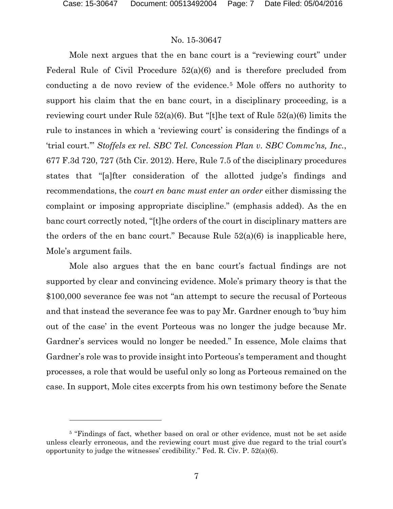$\overline{a}$ 

### No. 15-30647

Mole next argues that the en banc court is a "reviewing court" under Federal Rule of Civil Procedure  $52(a)(6)$  and is therefore precluded from conducting a de novo review of the evidence.[5](#page-6-0) Mole offers no authority to support his claim that the en banc court, in a disciplinary proceeding, is a reviewing court under Rule 52(a)(6). But "[t]he text of Rule 52(a)(6) limits the rule to instances in which a 'reviewing court' is considering the findings of a 'trial court.'" *Stoffels ex rel. SBC Tel. Concession Plan v. SBC Commc'ns, Inc.*, 677 F.3d 720, 727 (5th Cir. 2012). Here, Rule 7.5 of the disciplinary procedures states that "[a]fter consideration of the allotted judge's findings and recommendations, the *court en banc must enter an order* either dismissing the complaint or imposing appropriate discipline." (emphasis added). As the en banc court correctly noted, "[t]he orders of the court in disciplinary matters are the orders of the en banc court." Because Rule  $52(a)(6)$  is inapplicable here, Mole's argument fails.

Mole also argues that the en banc court's factual findings are not supported by clear and convincing evidence. Mole's primary theory is that the \$100,000 severance fee was not "an attempt to secure the recusal of Porteous and that instead the severance fee was to pay Mr. Gardner enough to 'buy him out of the case' in the event Porteous was no longer the judge because Mr. Gardner's services would no longer be needed." In essence, Mole claims that Gardner's role was to provide insight into Porteous's temperament and thought processes, a role that would be useful only so long as Porteous remained on the case. In support, Mole cites excerpts from his own testimony before the Senate

<span id="page-6-0"></span><sup>&</sup>lt;sup>5</sup> "Findings of fact, whether based on oral or other evidence, must not be set aside unless clearly erroneous, and the reviewing court must give due regard to the trial court's opportunity to judge the witnesses' credibility." Fed. R. Civ. P. 52(a)(6).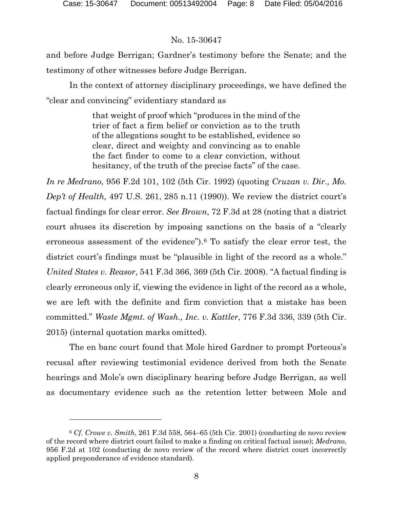# No. 15-30647

and before Judge Berrigan; Gardner's testimony before the Senate; and the testimony of other witnesses before Judge Berrigan.

In the context of attorney disciplinary proceedings, we have defined the "clear and convincing" evidentiary standard as

> that weight of proof which "produces in the mind of the trier of fact a firm belief or conviction as to the truth of the allegations sought to be established, evidence so clear, direct and weighty and convincing as to enable the fact finder to come to a clear conviction, without hesitancy, of the truth of the precise facts" of the case.

*In re Medrano*, 956 F.2d 101, 102 (5th Cir. 1992) (quoting *Cruzan v. Dir., Mo. Dep't of Health,* 497 U.S. 261, 285 n.11 (1990)). We review the district court's factual findings for clear error. *See Brown*, 72 F.3d at 28 (noting that a district court abuses its discretion by imposing sanctions on the basis of a "clearly erroneous assessment of the evidence").<sup>[6](#page-7-0)</sup> To satisfy the clear error test, the district court's findings must be "plausible in light of the record as a whole." *United States v. Reasor*, 541 F.3d 366, 369 (5th Cir. 2008). "A factual finding is clearly erroneous only if, viewing the evidence in light of the record as a whole, we are left with the definite and firm conviction that a mistake has been committed." *Waste Mgmt. of Wash., Inc. v. Kattler*, 776 F.3d 336, 339 (5th Cir. 2015) (internal quotation marks omitted).

The en banc court found that Mole hired Gardner to prompt Porteous's recusal after reviewing testimonial evidence derived from both the Senate hearings and Mole's own disciplinary hearing before Judge Berrigan, as well as documentary evidence such as the retention letter between Mole and

<span id="page-7-0"></span><sup>6</sup> *Cf. Crowe v. Smith*, 261 F.3d 558, 564–65 (5th Cir. 2001) (conducting de novo review of the record where district court failed to make a finding on critical factual issue); *Medrano*, 956 F.2d at 102 (conducting de novo review of the record where district court incorrectly applied preponderance of evidence standard).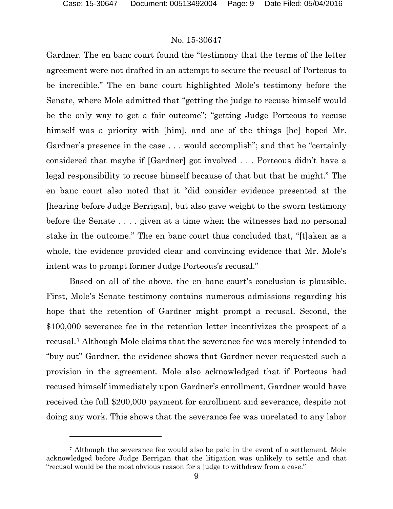$\overline{a}$ 

### No. 15-30647

Gardner. The en banc court found the "testimony that the terms of the letter agreement were not drafted in an attempt to secure the recusal of Porteous to be incredible." The en banc court highlighted Mole's testimony before the Senate, where Mole admitted that "getting the judge to recuse himself would be the only way to get a fair outcome"; "getting Judge Porteous to recuse himself was a priority with [him], and one of the things [he] hoped Mr. Gardner's presence in the case . . . would accomplish"; and that he "certainly considered that maybe if [Gardner] got involved . . . Porteous didn't have a legal responsibility to recuse himself because of that but that he might." The en banc court also noted that it "did consider evidence presented at the [hearing before Judge Berrigan], but also gave weight to the sworn testimony before the Senate . . . . given at a time when the witnesses had no personal stake in the outcome." The en banc court thus concluded that, "[t]aken as a whole, the evidence provided clear and convincing evidence that Mr. Mole's intent was to prompt former Judge Porteous's recusal."

Based on all of the above, the en banc court's conclusion is plausible. First, Mole's Senate testimony contains numerous admissions regarding his hope that the retention of Gardner might prompt a recusal. Second, the \$100,000 severance fee in the retention letter incentivizes the prospect of a recusal.[7](#page-8-0) Although Mole claims that the severance fee was merely intended to "buy out" Gardner, the evidence shows that Gardner never requested such a provision in the agreement. Mole also acknowledged that if Porteous had recused himself immediately upon Gardner's enrollment, Gardner would have received the full \$200,000 payment for enrollment and severance, despite not doing any work. This shows that the severance fee was unrelated to any labor

<span id="page-8-0"></span><sup>7</sup> Although the severance fee would also be paid in the event of a settlement, Mole acknowledged before Judge Berrigan that the litigation was unlikely to settle and that "recusal would be the most obvious reason for a judge to withdraw from a case."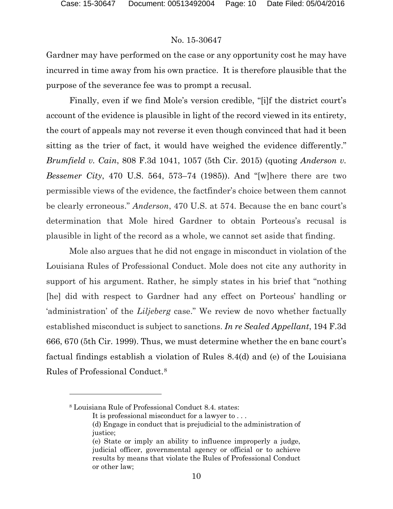Gardner may have performed on the case or any opportunity cost he may have incurred in time away from his own practice. It is therefore plausible that the purpose of the severance fee was to prompt a recusal.

Finally, even if we find Mole's version credible, "[i]f the district court's account of the evidence is plausible in light of the record viewed in its entirety, the court of appeals may not reverse it even though convinced that had it been sitting as the trier of fact, it would have weighed the evidence differently." *Brumfield v. Cain*, 808 F.3d 1041, 1057 (5th Cir. 2015) (quoting *Anderson v. Bessemer City*, 470 U.S. 564, 573–74 (1985)). And "[w]here there are two permissible views of the evidence, the factfinder's choice between them cannot be clearly erroneous." *Anderson*, 470 U.S. at 574. Because the en banc court's determination that Mole hired Gardner to obtain Porteous's recusal is plausible in light of the record as a whole, we cannot set aside that finding.

Mole also argues that he did not engage in misconduct in violation of the Louisiana Rules of Professional Conduct. Mole does not cite any authority in support of his argument. Rather, he simply states in his brief that "nothing [he] did with respect to Gardner had any effect on Porteous' handling or 'administration' of the *Liljeberg* case." We review de novo whether factually established misconduct is subject to sanctions. *In re Sealed Appellant*, 194 F.3d 666, 670 (5th Cir. 1999). Thus, we must determine whether the en banc court's factual findings establish a violation of Rules 8.4(d) and (e) of the Louisiana Rules of Professional Conduct.[8](#page-9-0)

 $\overline{a}$ 

<span id="page-9-0"></span><sup>8</sup> Louisiana Rule of Professional Conduct 8.4. states:

It is professional misconduct for a lawyer to . . .

<sup>(</sup>d) Engage in conduct that is prejudicial to the administration of justice;

<sup>(</sup>e) State or imply an ability to influence improperly a judge, judicial officer, governmental agency or official or to achieve results by means that violate the Rules of Professional Conduct or other law;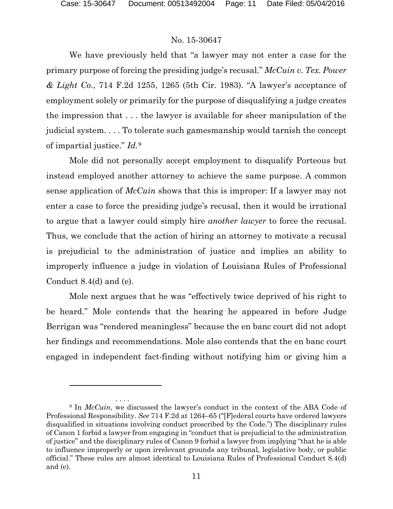# No. 15-30647

We have previously held that "a lawyer may not enter a case for the primary purpose of forcing the presiding judge's recusal." *McCuin v. Tex. Power & Light Co.*, 714 F.2d 1255, 1265 (5th Cir. 1983). "A lawyer's acceptance of employment solely or primarily for the purpose of disqualifying a judge creates the impression that . . . the lawyer is available for sheer manipulation of the judicial system. . . . To tolerate such gamesmanship would tarnish the concept of impartial justice." *Id.*[9](#page-10-0)

Mole did not personally accept employment to disqualify Porteous but instead employed another attorney to achieve the same purpose. A common sense application of *McCuin* shows that this is improper: If a lawyer may not enter a case to force the presiding judge's recusal, then it would be irrational to argue that a lawyer could simply hire *another lawyer* to force the recusal. Thus, we conclude that the action of hiring an attorney to motivate a recusal is prejudicial to the administration of justice and implies an ability to improperly influence a judge in violation of Louisiana Rules of Professional Conduct 8.4(d) and (e).

Mole next argues that he was "effectively twice deprived of his right to be heard." Mole contends that the hearing he appeared in before Judge Berrigan was "rendered meaningless" because the en banc court did not adopt her findings and recommendations. Mole also contends that the en banc court engaged in independent fact-finding without notifying him or giving him a

<span id="page-10-0"></span><sup>. . . .</sup> <sup>9</sup> In *McCuin*, we discussed the lawyer's conduct in the context of the ABA Code of Professional Responsibility. *See* 714 F.2d at 1264–65 ("[F]ederal courts have ordered lawyers disqualified in situations involving conduct proscribed by the Code.") The disciplinary rules of Canon 1 forbid a lawyer from engaging in "conduct that is prejudicial to the administration of justice" and the disciplinary rules of Canon 9 forbid a lawyer from implying "that he is able to influence improperly or upon irrelevant grounds any tribunal, legislative body, or public official." These rules are almost identical to Louisiana Rules of Professional Conduct 8.4(d) and (e).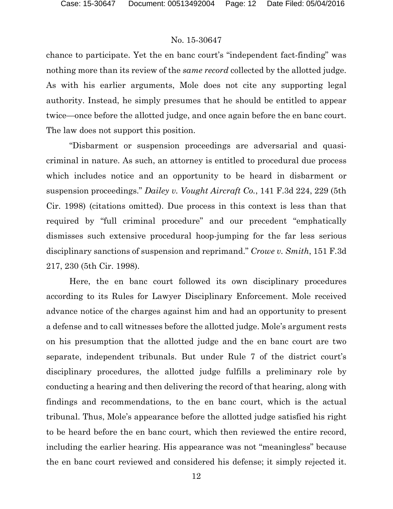chance to participate. Yet the en banc court's "independent fact-finding" was nothing more than its review of the *same record* collected by the allotted judge. As with his earlier arguments, Mole does not cite any supporting legal authority. Instead, he simply presumes that he should be entitled to appear twice—once before the allotted judge, and once again before the en banc court. The law does not support this position.

"Disbarment or suspension proceedings are adversarial and quasicriminal in nature. As such, an attorney is entitled to procedural due process which includes notice and an opportunity to be heard in disbarment or suspension proceedings." *Dailey v. Vought Aircraft Co.*, 141 F.3d 224, 229 (5th Cir. 1998) (citations omitted). Due process in this context is less than that required by "full criminal procedure" and our precedent "emphatically dismisses such extensive procedural hoop-jumping for the far less serious disciplinary sanctions of suspension and reprimand." *Crowe v. Smith*, 151 F.3d 217, 230 (5th Cir. 1998).

Here, the en banc court followed its own disciplinary procedures according to its Rules for Lawyer Disciplinary Enforcement. Mole received advance notice of the charges against him and had an opportunity to present a defense and to call witnesses before the allotted judge. Mole's argument rests on his presumption that the allotted judge and the en banc court are two separate, independent tribunals. But under Rule 7 of the district court's disciplinary procedures, the allotted judge fulfills a preliminary role by conducting a hearing and then delivering the record of that hearing, along with findings and recommendations, to the en banc court, which is the actual tribunal. Thus, Mole's appearance before the allotted judge satisfied his right to be heard before the en banc court, which then reviewed the entire record, including the earlier hearing. His appearance was not "meaningless" because the en banc court reviewed and considered his defense; it simply rejected it.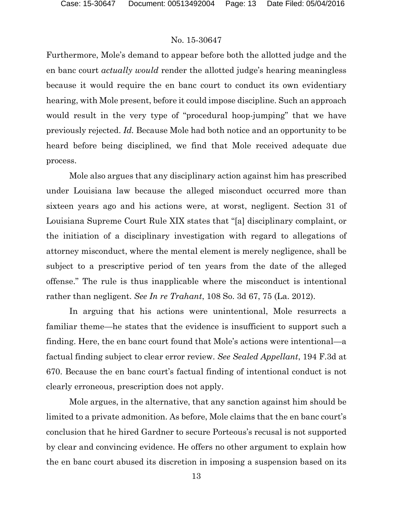Furthermore, Mole's demand to appear before both the allotted judge and the en banc court *actually would* render the allotted judge's hearing meaningless because it would require the en banc court to conduct its own evidentiary hearing, with Mole present, before it could impose discipline. Such an approach would result in the very type of "procedural hoop-jumping" that we have previously rejected. *Id.* Because Mole had both notice and an opportunity to be heard before being disciplined, we find that Mole received adequate due process.

Mole also argues that any disciplinary action against him has prescribed under Louisiana law because the alleged misconduct occurred more than sixteen years ago and his actions were, at worst, negligent. Section 31 of Louisiana Supreme Court Rule XIX states that "[a] disciplinary complaint, or the initiation of a disciplinary investigation with regard to allegations of attorney misconduct, where the mental element is merely negligence, shall be subject to a prescriptive period of ten years from the date of the alleged offense." The rule is thus inapplicable where the misconduct is intentional rather than negligent. *See In re Trahant*, 108 So. 3d 67, 75 (La. 2012).

In arguing that his actions were unintentional, Mole resurrects a familiar theme—he states that the evidence is insufficient to support such a finding. Here, the en banc court found that Mole's actions were intentional—a factual finding subject to clear error review. *See Sealed Appellant*, 194 F.3d at 670. Because the en banc court's factual finding of intentional conduct is not clearly erroneous, prescription does not apply.

Mole argues, in the alternative, that any sanction against him should be limited to a private admonition. As before, Mole claims that the en banc court's conclusion that he hired Gardner to secure Porteous's recusal is not supported by clear and convincing evidence. He offers no other argument to explain how the en banc court abused its discretion in imposing a suspension based on its